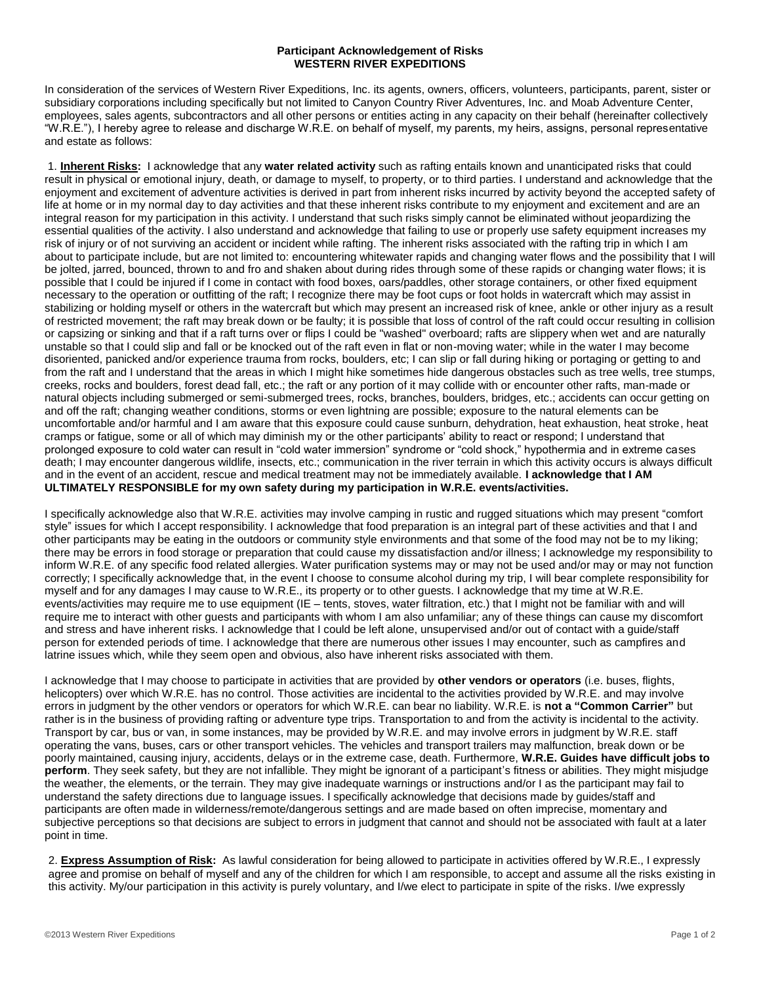## **Participant Acknowledgement of Risks WESTERN RIVER EXPEDITIONS**

In consideration of the services of Western River Expeditions, Inc. its agents, owners, officers, volunteers, participants, parent, sister or subsidiary corporations including specifically but not limited to Canyon Country River Adventures, Inc. and Moab Adventure Center, employees, sales agents, subcontractors and all other persons or entities acting in any capacity on their behalf (hereinafter collectively "W.R.E."), I hereby agree to release and discharge W.R.E. on behalf of myself, my parents, my heirs, assigns, personal representative and estate as follows:

1. **Inherent Risks:** I acknowledge that any **water related activity** such as rafting entails known and unanticipated risks that could result in physical or emotional injury, death, or damage to myself, to property, or to third parties. I understand and acknowledge that the enjoyment and excitement of adventure activities is derived in part from inherent risks incurred by activity beyond the accepted safety of life at home or in my normal day to day activities and that these inherent risks contribute to my enjoyment and excitement and are an integral reason for my participation in this activity. I understand that such risks simply cannot be eliminated without jeopardizing the essential qualities of the activity. I also understand and acknowledge that failing to use or properly use safety equipment increases my risk of injury or of not surviving an accident or incident while rafting. The inherent risks associated with the rafting trip in which I am about to participate include, but are not limited to: encountering whitewater rapids and changing water flows and the possibility that I will be jolted, jarred, bounced, thrown to and fro and shaken about during rides through some of these rapids or changing water flows; it is possible that I could be injured if I come in contact with food boxes, oars/paddles, other storage containers, or other fixed equipment necessary to the operation or outfitting of the raft; I recognize there may be foot cups or foot holds in watercraft which may assist in stabilizing or holding myself or others in the watercraft but which may present an increased risk of knee, ankle or other injury as a result of restricted movement; the raft may break down or be faulty; it is possible that loss of control of the raft could occur resulting in collision or capsizing or sinking and that if a raft turns over or flips I could be "washed" overboard; rafts are slippery when wet and are naturally unstable so that I could slip and fall or be knocked out of the raft even in flat or non-moving water; while in the water I may become disoriented, panicked and/or experience trauma from rocks, boulders, etc; I can slip or fall during hiking or portaging or getting to and from the raft and I understand that the areas in which I might hike sometimes hide dangerous obstacles such as tree wells, tree stumps, creeks, rocks and boulders, forest dead fall, etc.; the raft or any portion of it may collide with or encounter other rafts, man-made or natural objects including submerged or semi-submerged trees, rocks, branches, boulders, bridges, etc.; accidents can occur getting on and off the raft; changing weather conditions, storms or even lightning are possible; exposure to the natural elements can be uncomfortable and/or harmful and I am aware that this exposure could cause sunburn, dehydration, heat exhaustion, heat stroke, heat cramps or fatigue, some or all of which may diminish my or the other participants' ability to react or respond; I understand that prolonged exposure to cold water can result in "cold water immersion" syndrome or "cold shock," hypothermia and in extreme cases death; I may encounter dangerous wildlife, insects, etc.; communication in the river terrain in which this activity occurs is always difficult and in the event of an accident, rescue and medical treatment may not be immediately available. **I acknowledge that I AM ULTIMATELY RESPONSIBLE for my own safety during my participation in W.R.E. events/activities.** 

I specifically acknowledge also that W.R.E. activities may involve camping in rustic and rugged situations which may present "comfort style" issues for which I accept responsibility. I acknowledge that food preparation is an integral part of these activities and that I and other participants may be eating in the outdoors or community style environments and that some of the food may not be to my liking; there may be errors in food storage or preparation that could cause my dissatisfaction and/or illness; I acknowledge my responsibility to inform W.R.E. of any specific food related allergies. Water purification systems may or may not be used and/or may or may not function correctly; I specifically acknowledge that, in the event I choose to consume alcohol during my trip, I will bear complete responsibility for myself and for any damages I may cause to W.R.E., its property or to other guests. I acknowledge that my time at W.R.E. events/activities may require me to use equipment (IE – tents, stoves, water filtration, etc.) that I might not be familiar with and will require me to interact with other guests and participants with whom I am also unfamiliar; any of these things can cause my discomfort and stress and have inherent risks. I acknowledge that I could be left alone, unsupervised and/or out of contact with a guide/staff person for extended periods of time. I acknowledge that there are numerous other issues I may encounter, such as campfires and latrine issues which, while they seem open and obvious, also have inherent risks associated with them.

I acknowledge that I may choose to participate in activities that are provided by **other vendors or operators** (i.e. buses, flights, helicopters) over which W.R.E. has no control. Those activities are incidental to the activities provided by W.R.E. and may involve errors in judgment by the other vendors or operators for which W.R.E. can bear no liability. W.R.E. is **not a "Common Carrier"** but rather is in the business of providing rafting or adventure type trips. Transportation to and from the activity is incidental to the activity. Transport by car, bus or van, in some instances, may be provided by W.R.E. and may involve errors in judgment by W.R.E. staff operating the vans, buses, cars or other transport vehicles. The vehicles and transport trailers may malfunction, break down or be poorly maintained, causing injury, accidents, delays or in the extreme case, death. Furthermore, **W.R.E. Guides have difficult jobs to perform**. They seek safety, but they are not infallible. They might be ignorant of a participant's fitness or abilities. They might misjudge the weather, the elements, or the terrain. They may give inadequate warnings or instructions and/or I as the participant may fail to understand the safety directions due to language issues. I specifically acknowledge that decisions made by guides/staff and participants are often made in wilderness/remote/dangerous settings and are made based on often imprecise, momentary and subjective perceptions so that decisions are subject to errors in judgment that cannot and should not be associated with fault at a later point in time.

2. **Express Assumption of Risk:** As lawful consideration for being allowed to participate in activities offered by W.R.E., I expressly agree and promise on behalf of myself and any of the children for which I am responsible, to accept and assume all the risks existing in this activity. My/our participation in this activity is purely voluntary, and I/we elect to participate in spite of the risks. I/we expressly